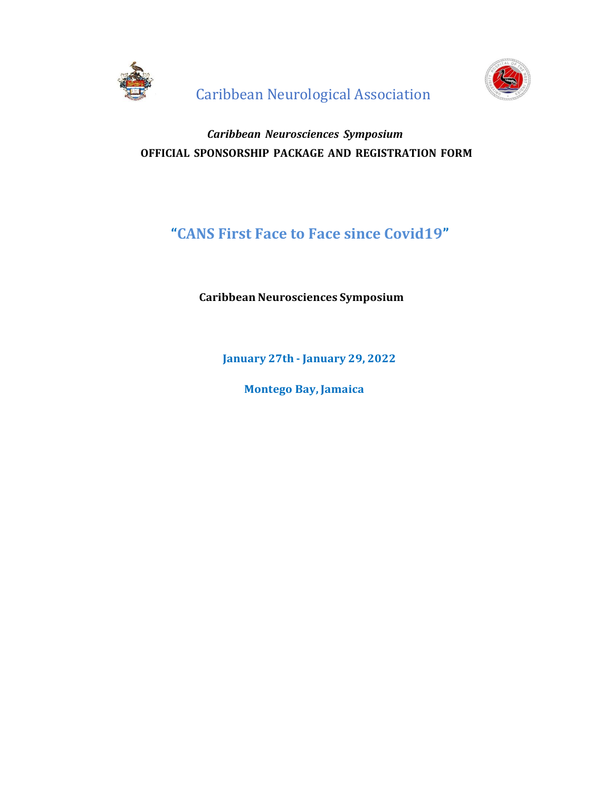



# *Caribbean Neurosciences Symposium* **OFFICIAL SPONSORSHIP PACKAGE AND REGISTRATION FORM**

# **"CANS First Face to Face since Covid19"**

## **Caribbean Neurosciences Symposium**

**January 27th - January 29, 2022**

 **Montego Bay, Jamaica**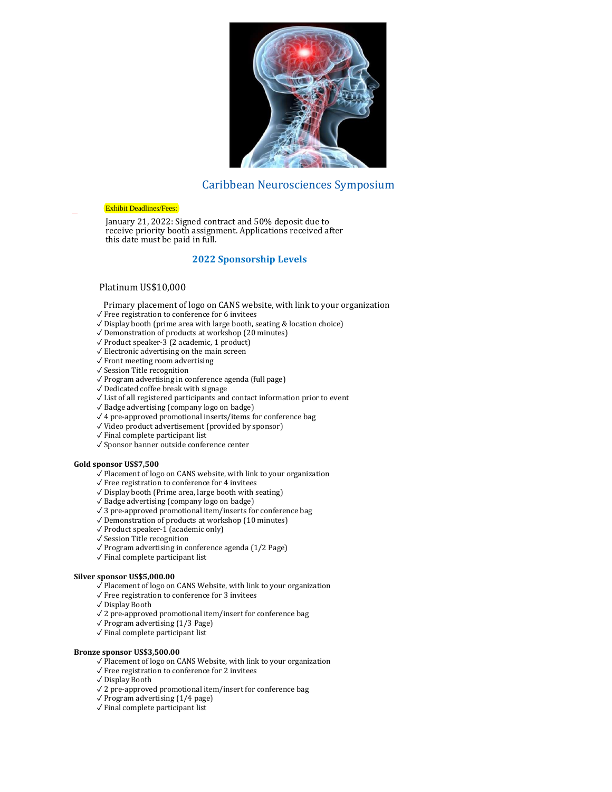

## Caribbean Neurosciences Symposium

#### Exhibit Deadlines/Fees:

January 21, 2022: Signed contract and 50% deposit due to receive priority booth assignment. Applications received after this date must be paid in full.

### **2022 Sponsorship Levels**

#### Platinum US\$10,000

- Primary placement of logo on CANS website, with link to your organization
- $\sqrt{\ }$  Free registration to conference for 6 invitees
- ✓ Display booth (prime area with large booth, seating & location choice)
- ✓ Demonstration of products at workshop (20 minutes)
- ✓ Product speaker-3 (2 academic, 1 product)
- $\sqrt{\frac{1}{2}}$  Electronic advertising on the main screen
- ✓ Front meeting room advertising
- ✓ Session Title recognition
- ✓ Program advertising in conference agenda (full page)
- ✓ Dedicated coffee break with signage
- ✓ List of all registered participants and contact information prior to event
- ✓ Badge advertising (company logo on badge)
- ✓ 4 pre-approved promotional inserts/items for conference bag
- ✓ Video product advertisement (provided by sponsor)
- ✓ Final complete participant list
- ✓ Sponsor banner outside conference center

#### **Gold sponsor US\$7,500**

- ✓ Placement of logo on CANS website, with link to your organization
- ✓ Free registration to conference for 4 invitees
- ✓ Display booth (Prime area, large booth with seating)
- ✓ Badge advertising (company logo on badge)
- ✓ 3 pre-approved promotional item/inserts for conference bag
- $\sqrt{\frac{10}{10}}$  Demonstration of products at workshop (10 minutes)
- ✓ Product speaker-1 (academic only)
- ✓ Session Title recognition
- ✓ Program advertising in conference agenda (1/2 Page)
- ✓ Final complete participant list

#### **Silver sponsor US\$5,000.00**

- ✓ Placement of logo on CANS Website, with link to your organization
- $\sqrt{}$  Free registration to conference for 3 invitees
- ✓ Display Booth
- ✓ 2 pre-approved promotional item/insert for conference bag
- ✓ Program advertising (1/3 Page)
- ✓ Final complete participant list

#### **Bronze sponsor US\$3,500.00**

- ✓ Placement of logo on CANS Website, with link to your organization
- ✓ Free registration to conference for 2 invitees
- ✓ Display Booth
- ✓ 2 pre-approved promotional item/insert for conference bag
- $\sqrt{P}$  Program advertising (1/4 page)
- ✓ Final complete participant list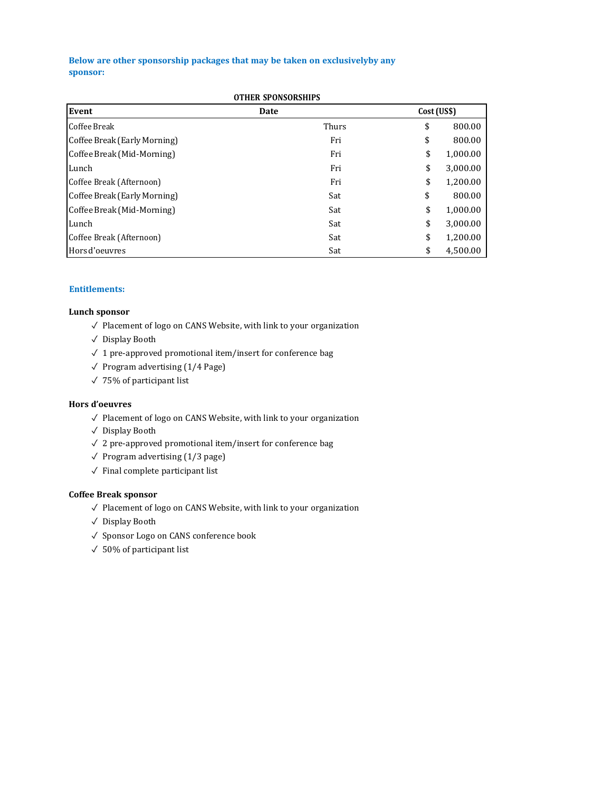## **Below are other sponsorship packages that may be taken on exclusivelyby any sponsor:**

| Event                        | Date  | Cost (US\$) |          |
|------------------------------|-------|-------------|----------|
| Coffee Break                 | Thurs | \$          | 800.00   |
| Coffee Break (Early Morning) | Fri   | \$          | 800.00   |
| Coffee Break (Mid-Morning)   | Fri   | \$          | 1,000.00 |
| Lunch                        | Fri   | \$          | 3,000.00 |
| Coffee Break (Afternoon)     | Fri   | \$          | 1,200.00 |
| Coffee Break (Early Morning) | Sat   | \$          | 800.00   |
| Coffee Break (Mid-Morning)   | Sat   | \$          | 1,000.00 |
| Lunch                        | Sat   | \$          | 3,000.00 |
| Coffee Break (Afternoon)     | Sat   | \$          | 1,200.00 |
| Hors d'oeuvres               | Sat   | \$          | 4,500.00 |

## **Entitlements:**

### **Lunch sponsor**

- ✓ Placement of logo on CANS Website, with link to your organization
- ✓ Display Booth
- $\sqrt{2}$  1 pre-approved promotional item/insert for conference bag
- $\sqrt{P}$  Program advertising (1/4 Page)
- ✓ 75% of participant list

### **Hors d'oeuvres**

- ✓ Placement of logo on CANS Website, with link to your organization
- ✓ Display Booth
- ✓ 2 pre-approved promotional item/insert for conference bag
- $\sqrt{P}$  Program advertising (1/3 page)
- $\checkmark$  Final complete participant list

### **Coffee Break sponsor**

- ✓ Placement of logo on CANS Website, with link to your organization
- ✓ Display Booth
- ✓ Sponsor Logo on CANS conference book
- $\sqrt{50\%}$  of participant list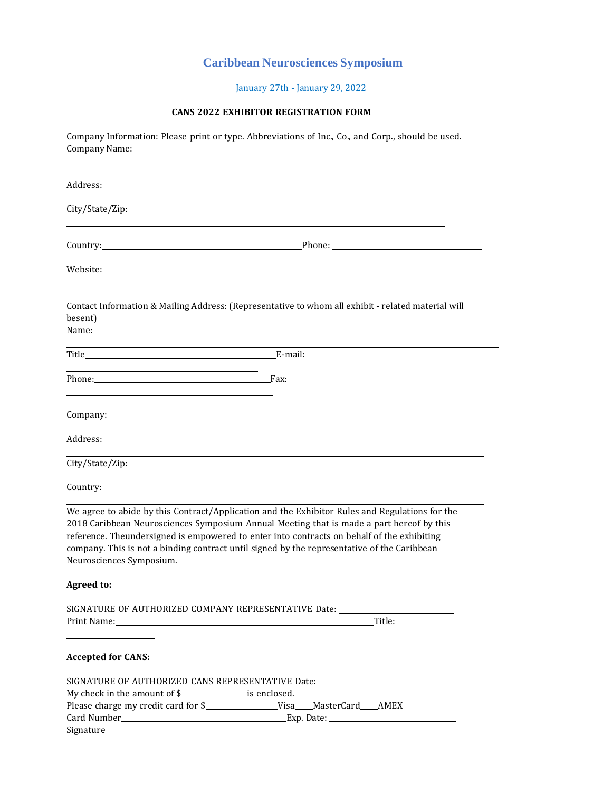## **Caribbean Neurosciences Symposium**

January 27th - January 29, 2022

## **CANS 2022 EXHIBITOR REGISTRATION FORM**

Company Information: Please print or type. Abbreviations of Inc., Co., and Corp., should be used. Company Name:

| Address:                                                                                                 |                                                                                                                                                                                                                                                                                                                                                                                         |
|----------------------------------------------------------------------------------------------------------|-----------------------------------------------------------------------------------------------------------------------------------------------------------------------------------------------------------------------------------------------------------------------------------------------------------------------------------------------------------------------------------------|
| City/State/Zip:                                                                                          |                                                                                                                                                                                                                                                                                                                                                                                         |
| Country:                                                                                                 |                                                                                                                                                                                                                                                                                                                                                                                         |
| Website:                                                                                                 |                                                                                                                                                                                                                                                                                                                                                                                         |
| besent)<br>Name:                                                                                         | Contact Information & Mailing Address: (Representative to whom all exhibit - related material will                                                                                                                                                                                                                                                                                      |
|                                                                                                          |                                                                                                                                                                                                                                                                                                                                                                                         |
| the control of the control of the control of the control of the control of the control of<br>Phone: Fax: |                                                                                                                                                                                                                                                                                                                                                                                         |
| Company:                                                                                                 |                                                                                                                                                                                                                                                                                                                                                                                         |
| Address:                                                                                                 |                                                                                                                                                                                                                                                                                                                                                                                         |
| City/State/Zip:                                                                                          |                                                                                                                                                                                                                                                                                                                                                                                         |
| Country:                                                                                                 |                                                                                                                                                                                                                                                                                                                                                                                         |
| Neurosciences Symposium.                                                                                 | We agree to abide by this Contract/Application and the Exhibitor Rules and Regulations for the<br>2018 Caribbean Neurosciences Symposium Annual Meeting that is made a part hereof by this<br>reference. Theundersigned is empowered to enter into contracts on behalf of the exhibiting<br>company. This is not a binding contract until signed by the representative of the Caribbean |
| <b>Agreed to:</b>                                                                                        |                                                                                                                                                                                                                                                                                                                                                                                         |
| SIGNATURE OF AUTHORIZED COMPANY REPRESENTATIVE Date:<br>Print Name:                                      | Title:                                                                                                                                                                                                                                                                                                                                                                                  |
| <b>Accepted for CANS:</b>                                                                                |                                                                                                                                                                                                                                                                                                                                                                                         |
|                                                                                                          | SIGNATURE OF AUTHORIZED CANS REPRESENTATIVE Date: ______________________________                                                                                                                                                                                                                                                                                                        |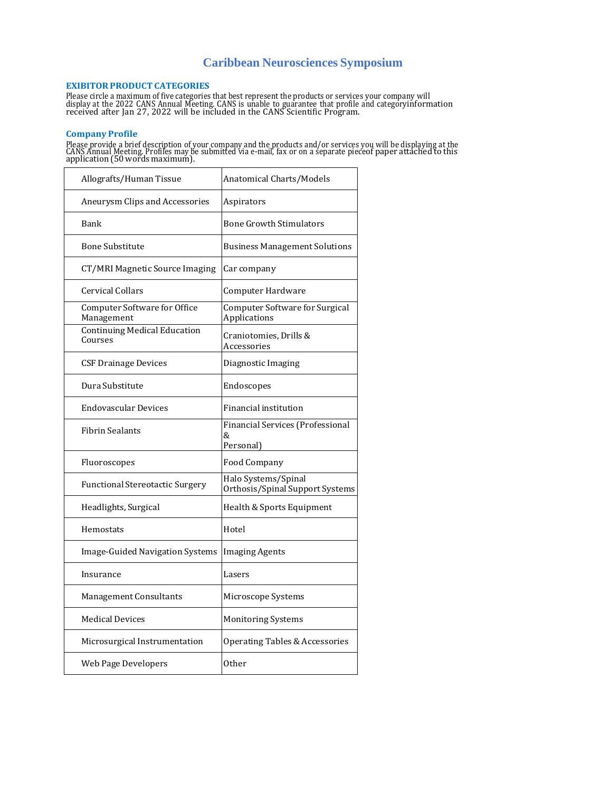## **Caribbean Neurosciences Symposium**

#### **EXIBITORPRODUCT CATEGORIES**

Please circle a maximum of five categories that best represent the products or services your company will<br>display at the 2022 CANS Annual Meeting. CANS is unable to guarantee that profile and categoryinformation<br>received a

#### **Company Profile**

Please provide a brief description of your company and the products and/or services you will be displaying at the<br>CANS Annual Meeting. Profiles may be submitted via e-mail, fax or on a separate pieceof paper attached to th

| Allografts/Human Tissue                        | Anatomical Charts/Models                                  |
|------------------------------------------------|-----------------------------------------------------------|
| Aneurysm Clips and Accessories                 | Aspirators                                                |
| Bank                                           | Bone Growth Stimulators                                   |
| <b>Bone Substitute</b>                         | <b>Business Management Solutions</b>                      |
| CT/MRI Magnetic Source Imaging                 | Car company                                               |
| Cervical Collars                               | Computer Hardware                                         |
| Computer Software for Office<br>Management     | Computer Software for Surgical<br>Applications            |
| <b>Continuing Medical Education</b><br>Courses | Craniotomies, Drills &<br>Accessories                     |
| CSF Drainage Devices                           | Diagnostic Imaging                                        |
| Dura Substitute                                | Endoscopes                                                |
| <b>Endovascular Devices</b>                    | Financial institution                                     |
| <b>Fibrin Sealants</b>                         | <b>Financial Services (Professional</b><br>&<br>Personal) |
| Fluoroscopes                                   | Food Company                                              |
| <b>Functional Stereotactic Surgery</b>         | Halo Systems/Spinal<br>Orthosis/Spinal Support Systems    |
| Headlights, Surgical                           | Health & Sports Equipment                                 |
| Hemostats                                      | Hotel                                                     |
| Image-Guided Navigation Systems                | <b>Imaging Agents</b>                                     |
| Insurance                                      | Lasers                                                    |
| Management Consultants                         | Microscope Systems                                        |
| <b>Medical Devices</b>                         | <b>Monitoring Systems</b>                                 |
| Microsurgical Instrumentation                  | <b>Operating Tables &amp; Accessories</b>                 |
| Web Page Developers                            | <b>Other</b>                                              |